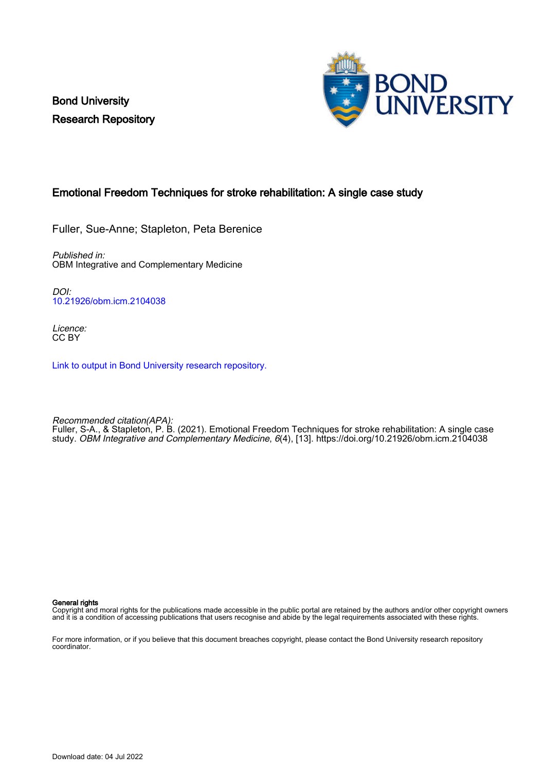Bond University Research Repository



# Emotional Freedom Techniques for stroke rehabilitation: A single case study

Fuller, Sue-Anne; Stapleton, Peta Berenice

Published in: OBM Integrative and Complementary Medicine

DOI: [10.21926/obm.icm.2104038](https://doi.org/10.21926/obm.icm.2104038)

Licence: CC BY

[Link to output in Bond University research repository.](https://research.bond.edu.au/en/publications/9d87606a-a29f-4cf9-81cb-c585e50e9788)

Recommended citation(APA): Fuller, S-A., & Stapleton, P. B. (2021). Emotional Freedom Techniques for stroke rehabilitation: A single case study. OBM Integrative and Complementary Medicine, 6(4), [13].<https://doi.org/10.21926/obm.icm.2104038>

General rights

Copyright and moral rights for the publications made accessible in the public portal are retained by the authors and/or other copyright owners and it is a condition of accessing publications that users recognise and abide by the legal requirements associated with these rights.

For more information, or if you believe that this document breaches copyright, please contact the Bond University research repository coordinator.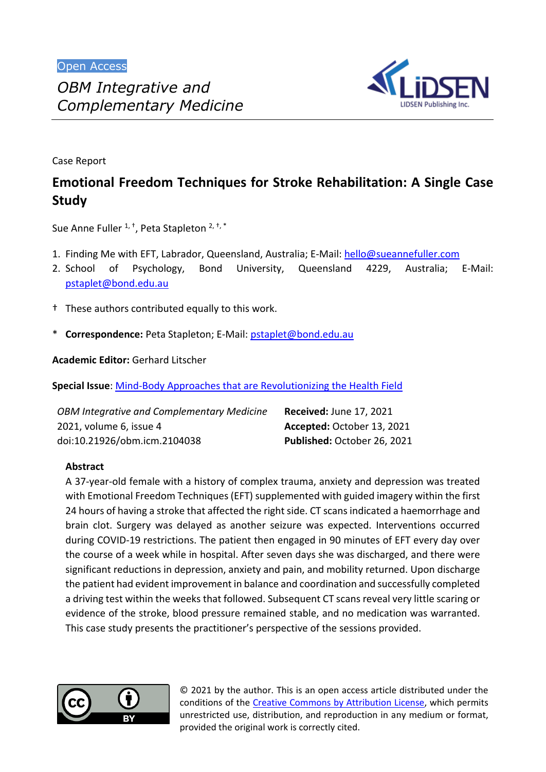

Case Report

# **Emotional Freedom Techniques for Stroke Rehabilitation: A Single Case Study**

Sue Anne Fuller <sup>1, †</sup>, Peta Stapleton <sup>2, †, \*</sup>

*Complementary Medicine*

- 1. Finding Me with EFT, Labrador, Queensland, Australia; E-Mail: [hello@sueannefuller.com](mailto:hello@sueannefuller.com)
- 2. School of Psychology, Bond University, Queensland 4229, Australia; E-Mail: [pstaplet@bond.edu.au](mailto:pstaplet@bond.edu.au)
- † These authors contributed equally to this work.
- \* **Correspondence:** Peta Stapleton; E-Mail: [pstaplet@bond.edu.au](mailto:pstaplet@bond.edu.au)

**Academic Editor:** Gerhard Litscher

**Special Issue**: [Mind-Body Approaches that are Revolutionizing the Health Field](http://www.lidsen.com/journals/icm/icm-special-issues/mind-body-approaches)

| <b>OBM Integrative and Complementary Medicine</b> | <b>Received: June 17, 2021</b> |
|---------------------------------------------------|--------------------------------|
| 2021, volume 6, issue 4                           | Accepted: October 13, 2021     |
| doi:10.21926/obm.icm.2104038                      | Published: October 26, 2021    |

## **Abstract**

A 37-year-old female with a history of complex trauma, anxiety and depression was treated with Emotional Freedom Techniques (EFT) supplemented with guided imagery within the first 24 hours of having a stroke that affected the right side. CT scans indicated a haemorrhage and brain clot. Surgery was delayed as another seizure was expected. Interventions occurred during COVID-19 restrictions. The patient then engaged in 90 minutes of EFT every day over the course of a week while in hospital. After seven days she was discharged, and there were significant reductions in depression, anxiety and pain, and mobility returned. Upon discharge the patient had evident improvement in balance and coordination and successfully completed a driving test within the weeks that followed. Subsequent CT scans reveal very little scaring or evidence of the stroke, blood pressure remained stable, and no medication was warranted. This case study presents the practitioner's perspective of the sessions provided.



© 2021 by the author. This is an open access article distributed under the conditions of the [Creative Commons by Attribution License,](http://creativecommons.org/licenses/by/4.0/) which permits unrestricted use, distribution, and reproduction in any medium or format, provided the original work is correctly cited.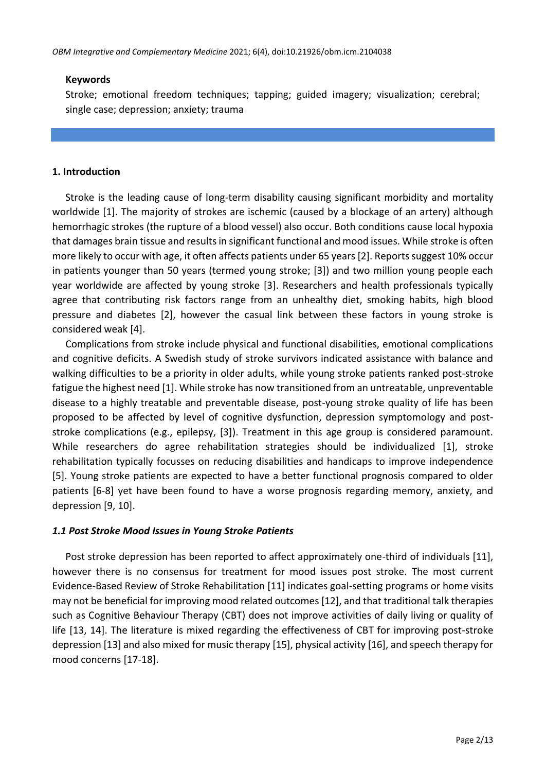## **Keywords**

Stroke; emotional freedom techniques; tapping; guided imagery; visualization; cerebral; single case; depression; anxiety; trauma

#### **1. Introduction**

Stroke is the leading cause of long-term disability causing significant morbidity and mortality worldwide [1]. The majority of strokes are ischemic (caused by a blockage of an artery) although hemorrhagic strokes (the rupture of a blood vessel) also occur. Both conditions cause local hypoxia that damages brain tissue and results in significant functional and mood issues. While stroke is often more likely to occur with age, it often affects patients under 65 years [2]. Reports suggest 10% occur in patients younger than 50 years (termed young stroke; [3]) and two million young people each year worldwide are affected by young stroke [3]. Researchers and health professionals typically agree that contributing risk factors range from an unhealthy diet, smoking habits, high blood pressure and diabetes [2], however the casual link between these factors in young stroke is considered weak [4].

Complications from stroke include physical and functional disabilities, emotional complications and cognitive deficits. A Swedish study of stroke survivors indicated assistance with balance and walking difficulties to be a priority in older adults, while young stroke patients ranked post-stroke fatigue the highest need [1]. While stroke has now transitioned from an untreatable, unpreventable disease to a highly treatable and preventable disease, post-young stroke quality of life has been proposed to be affected by level of cognitive dysfunction, depression symptomology and poststroke complications (e.g., epilepsy, [3]). Treatment in this age group is considered paramount. While researchers do agree rehabilitation strategies should be individualized [1], stroke rehabilitation typically focusses on reducing disabilities and handicaps to improve independence [5]. Young stroke patients are expected to have a better functional prognosis compared to older patients [6-8] yet have been found to have a worse prognosis regarding memory, anxiety, and depression [9, 10].

## *1.1 Post Stroke Mood Issues in Young Stroke Patients*

Post stroke depression has been reported to affect approximately one-third of individuals [11], however there is no consensus for treatment for mood issues post stroke. The most current Evidence-Based Review of Stroke Rehabilitation [11] indicates goal-setting programs or home visits may not be beneficial for improving mood related outcomes [12], and that traditional talk therapies such as Cognitive Behaviour Therapy (CBT) does not improve activities of daily living or quality of life [13, 14]. The literature is mixed regarding the effectiveness of CBT for improving post-stroke depression [13] and also mixed for music therapy [15], physical activity [16], and speech therapy for mood concerns [17-18].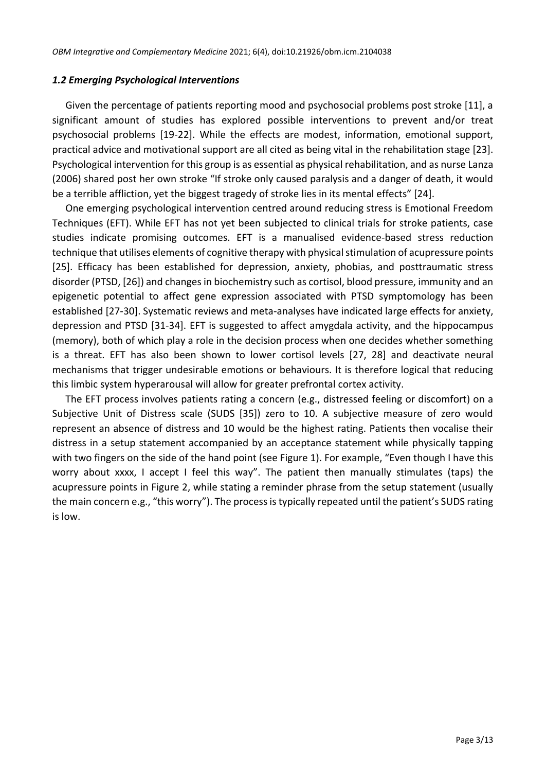#### *1.2 Emerging Psychological Interventions*

Given the percentage of patients reporting mood and psychosocial problems post stroke [11], a significant amount of studies has explored possible interventions to prevent and/or treat psychosocial problems [19-22]. While the effects are modest, information, emotional support, practical advice and motivational support are all cited as being vital in the rehabilitation stage [23]. Psychological intervention for this group is as essential as physical rehabilitation, and as nurse Lanza (2006) shared post her own stroke "If stroke only caused paralysis and a danger of death, it would be a terrible affliction, yet the biggest tragedy of stroke lies in its mental effects" [24].

One emerging psychological intervention centred around reducing stress is Emotional Freedom Techniques (EFT). While EFT has not yet been subjected to clinical trials for stroke patients, case studies indicate promising outcomes. EFT is a manualised evidence-based stress reduction technique that utilises elements of cognitive therapy with physical stimulation of acupressure points [25]. Efficacy has been established for depression, anxiety, phobias, and posttraumatic stress disorder (PTSD, [26]) and changes in biochemistry such as cortisol, blood pressure, immunity and an epigenetic potential to affect gene expression associated with PTSD symptomology has been established [27-30]. Systematic reviews and meta-analyses have indicated large effects for anxiety, depression and PTSD [31-34]. EFT is suggested to affect amygdala activity, and the hippocampus (memory), both of which play a role in the decision process when one decides whether something is a threat. EFT has also been shown to lower cortisol levels [27, 28] and deactivate neural mechanisms that trigger undesirable emotions or behaviours. It is therefore logical that reducing this limbic system hyperarousal will allow for greater prefrontal cortex activity.

The EFT process involves patients rating a concern (e.g., distressed feeling or discomfort) on a Subjective Unit of Distress scale (SUDS [35]) zero to 10. A subjective measure of zero would represent an absence of distress and 10 would be the highest rating. Patients then vocalise their distress in a setup statement accompanied by an acceptance statement while physically tapping with two fingers on the side of the hand point (see Figure 1). For example, "Even though I have this worry about xxxx, I accept I feel this way". The patient then manually stimulates (taps) the acupressure points in Figure 2, while stating a reminder phrase from the setup statement (usually the main concern e.g., "this worry"). The process is typically repeated until the patient's SUDS rating is low.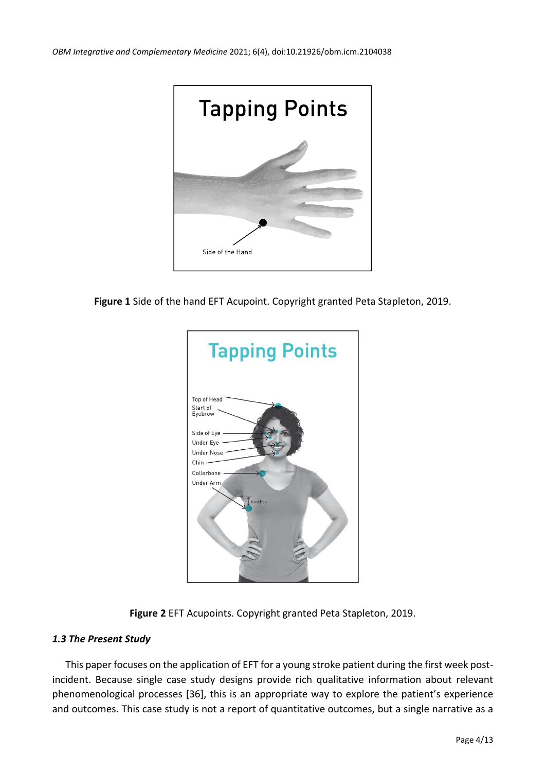

**Figure 1** Side of the hand EFT Acupoint. Copyright granted Peta Stapleton, 2019.





## *1.3 The Present Study*

This paper focuses on the application of EFT for a young stroke patient during the first week postincident. Because single case study designs provide rich qualitative information about relevant phenomenological processes [36], this is an appropriate way to explore the patient's experience and outcomes. This case study is not a report of quantitative outcomes, but a single narrative as a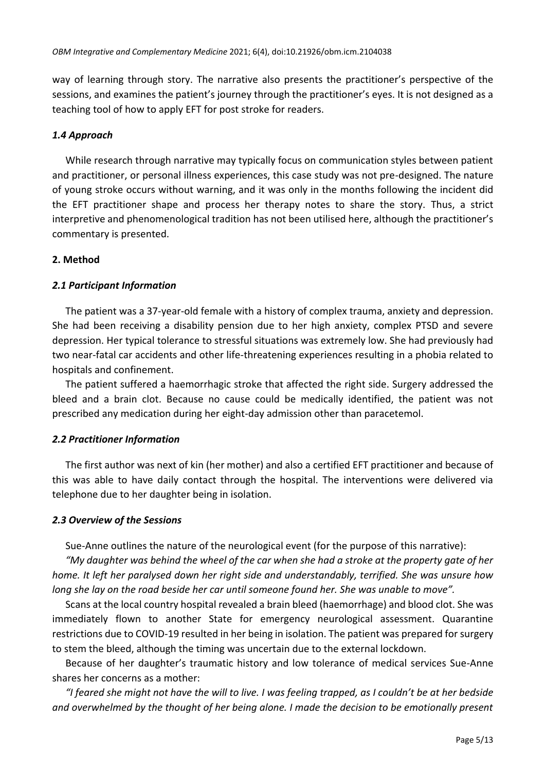way of learning through story. The narrative also presents the practitioner's perspective of the sessions, and examines the patient's journey through the practitioner's eyes. It is not designed as a teaching tool of how to apply EFT for post stroke for readers.

# *1.4 Approach*

While research through narrative may typically focus on communication styles between patient and practitioner, or personal illness experiences, this case study was not pre-designed. The nature of young stroke occurs without warning, and it was only in the months following the incident did the EFT practitioner shape and process her therapy notes to share the story. Thus, a strict interpretive and phenomenological tradition has not been utilised here, although the practitioner's commentary is presented.

# **2. Method**

# *2.1 Participant Information*

The patient was a 37-year-old female with a history of complex trauma, anxiety and depression. She had been receiving a disability pension due to her high anxiety, complex PTSD and severe depression. Her typical tolerance to stressful situations was extremely low. She had previously had two near-fatal car accidents and other life-threatening experiences resulting in a phobia related to hospitals and confinement.

The patient suffered a haemorrhagic stroke that affected the right side. Surgery addressed the bleed and a brain clot. Because no cause could be medically identified, the patient was not prescribed any medication during her eight-day admission other than paracetemol.

## *2.2 Practitioner Information*

The first author was next of kin (her mother) and also a certified EFT practitioner and because of this was able to have daily contact through the hospital. The interventions were delivered via telephone due to her daughter being in isolation.

## *2.3 Overview of the Sessions*

Sue-Anne outlines the nature of the neurological event (for the purpose of this narrative):

*"My daughter was behind the wheel of the car when she had a stroke at the property gate of her home. It left her paralysed down her right side and understandably, terrified. She was unsure how long she lay on the road beside her car until someone found her. She was unable to move".*

Scans at the local country hospital revealed a brain bleed (haemorrhage) and blood clot. She was immediately flown to another State for emergency neurological assessment. Quarantine restrictions due to COVID-19 resulted in her being in isolation. The patient was prepared for surgery to stem the bleed, although the timing was uncertain due to the external lockdown.

Because of her daughter's traumatic history and low tolerance of medical services Sue-Anne shares her concerns as a mother:

*"I feared she might not have the will to live. I was feeling trapped, as I couldn't be at her bedside and overwhelmed by the thought of her being alone. I made the decision to be emotionally present*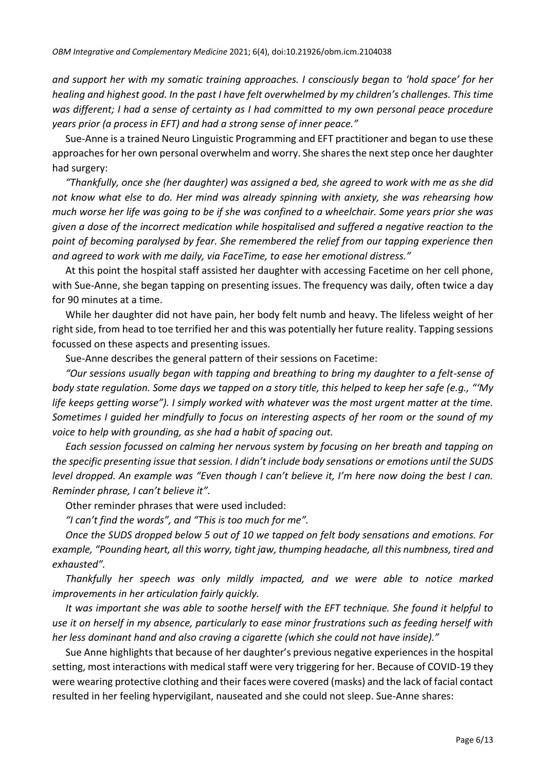*and support her with my somatic training approaches. I consciously began to 'hold space' for her healing and highest good. In the past I have felt overwhelmed by my children's challenges. This time*  was different; I had a sense of certainty as I had committed to my own personal peace procedure *years prior (a process in EFT) and had a strong sense of inner peace."*

Sue-Anne is a trained Neuro Linguistic Programming and EFT practitioner and began to use these approaches for her own personal overwhelm and worry. She shares the next step once her daughter had surgery:

*"Thankfully, once she (her daughter) was assigned a bed, she agreed to work with me as she did not know what else to do. Her mind was already spinning with anxiety, she was rehearsing how much worse her life was going to be if she was confined to a wheelchair. Some years prior she was given a dose of the incorrect medication while hospitalised and suffered a negative reaction to the point of becoming paralysed by fear. She remembered the relief from our tapping experience then and agreed to work with me daily, via FaceTime, to ease her emotional distress."*

At this point the hospital staff assisted her daughter with accessing Facetime on her cell phone, with Sue-Anne, she began tapping on presenting issues. The frequency was daily, often twice a day for 90 minutes at a time.

While her daughter did not have pain, her body felt numb and heavy. The lifeless weight of her right side, from head to toe terrified her and this was potentially her future reality. Tapping sessions focussed on these aspects and presenting issues.

Sue-Anne describes the general pattern of their sessions on Facetime:

*"Our sessions usually began with tapping and breathing to bring my daughter to a felt-sense of body state regulation. Some days we tapped on a story title, this helped to keep her safe (e.g., "'My life keeps getting worse"). I simply worked with whatever was the most urgent matter at the time. Sometimes I guided her mindfully to focus on interesting aspects of her room or the sound of my voice to help with grounding, as she had a habit of spacing out.*

*Each session focussed on calming her nervous system by focusing on her breath and tapping on the specific presenting issue that session. I didn't include body sensations or emotions until the SUDS level dropped. An example was "Even though I can't believe it, I'm here now doing the best I can. Reminder phrase, I can't believe it".*

Other reminder phrases that were used included:

*"I can't find the words", and "This is too much for me".*

*Once the SUDS dropped below 5 out of 10 we tapped on felt body sensations and emotions. For example, "Pounding heart, all this worry, tight jaw, thumping headache, all this numbness, tired and exhausted".*

*Thankfully her speech was only mildly impacted, and we were able to notice marked improvements in her articulation fairly quickly.*

*It was important she was able to soothe herself with the EFT technique. She found it helpful to use it on herself in my absence, particularly to ease minor frustrations such as feeding herself with her less dominant hand and also craving a cigarette (which she could not have inside)."*

Sue Anne highlights that because of her daughter's previous negative experiences in the hospital setting, most interactions with medical staff were very triggering for her. Because of COVID-19 they were wearing protective clothing and their faces were covered (masks) and the lack of facial contact resulted in her feeling hypervigilant, nauseated and she could not sleep. Sue-Anne shares: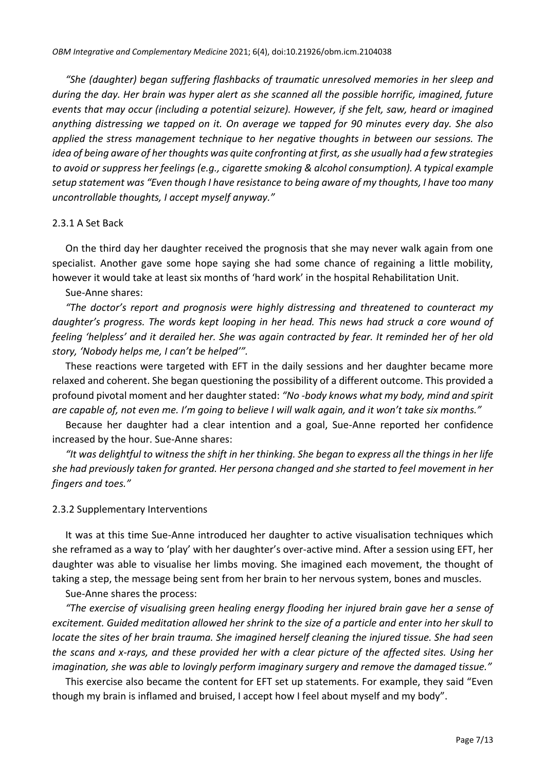*"She (daughter) began suffering flashbacks of traumatic unresolved memories in her sleep and during the day. Her brain was hyper alert as she scanned all the possible horrific, imagined, future events that may occur (including a potential seizure). However, if she felt, saw, heard or imagined anything distressing we tapped on it. On average we tapped for 90 minutes every day. She also applied the stress management technique to her negative thoughts in between our sessions. The idea of being aware of her thoughts was quite confronting at first, as she usually had a few strategies to avoid or suppress her feelings (e.g., cigarette smoking & alcohol consumption). A typical example setup statement was "Even though I have resistance to being aware of my thoughts, I have too many uncontrollable thoughts, I accept myself anyway."*

#### 2.3.1 A Set Back

On the third day her daughter received the prognosis that she may never walk again from one specialist. Another gave some hope saying she had some chance of regaining a little mobility, however it would take at least six months of 'hard work' in the hospital Rehabilitation Unit.

Sue-Anne shares:

*"The doctor's report and prognosis were highly distressing and threatened to counteract my daughter's progress. The words kept looping in her head. This news had struck a core wound of feeling 'helpless' and it derailed her. She was again contracted by fear. It reminded her of her old story, 'Nobody helps me, I can't be helped'".*

These reactions were targeted with EFT in the daily sessions and her daughter became more relaxed and coherent. She began questioning the possibility of a different outcome. This provided a profound pivotal moment and her daughter stated: *"No -body knows what my body, mind and spirit are capable of, not even me. I'm going to believe I will walk again, and it won't take six months."*

Because her daughter had a clear intention and a goal, Sue-Anne reported her confidence increased by the hour. Sue-Anne shares:

*"It was delightful to witness the shift in her thinking. She began to express all the things in her life she had previously taken for granted. Her persona changed and she started to feel movement in her fingers and toes."*

#### 2.3.2 Supplementary Interventions

It was at this time Sue-Anne introduced her daughter to active visualisation techniques which she reframed as a way to 'play' with her daughter's over-active mind. After a session using EFT, her daughter was able to visualise her limbs moving. She imagined each movement, the thought of taking a step, the message being sent from her brain to her nervous system, bones and muscles.

Sue-Anne shares the process:

*"The exercise of visualising green healing energy flooding her injured brain gave her a sense of excitement. Guided meditation allowed her shrink to the size of a particle and enter into her skull to locate the sites of her brain trauma. She imagined herself cleaning the injured tissue. She had seen the scans and x-rays, and these provided her with a clear picture of the affected sites. Using her imagination, she was able to lovingly perform imaginary surgery and remove the damaged tissue."*

This exercise also became the content for EFT set up statements. For example, they said "Even though my brain is inflamed and bruised, I accept how I feel about myself and my body".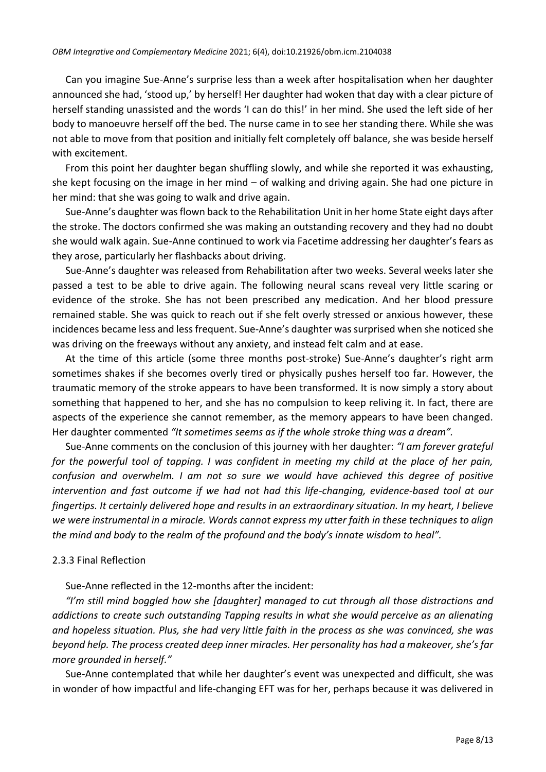Can you imagine Sue-Anne's surprise less than a week after hospitalisation when her daughter announced she had, 'stood up,' by herself! Her daughter had woken that day with a clear picture of herself standing unassisted and the words 'I can do this!' in her mind. She used the left side of her body to manoeuvre herself off the bed. The nurse came in to see her standing there. While she was not able to move from that position and initially felt completely off balance, she was beside herself with excitement.

From this point her daughter began shuffling slowly, and while she reported it was exhausting, she kept focusing on the image in her mind – of walking and driving again. She had one picture in her mind: that she was going to walk and drive again.

Sue-Anne's daughter was flown back to the Rehabilitation Unit in her home State eight days after the stroke. The doctors confirmed she was making an outstanding recovery and they had no doubt she would walk again. Sue-Anne continued to work via Facetime addressing her daughter's fears as they arose, particularly her flashbacks about driving.

Sue-Anne's daughter was released from Rehabilitation after two weeks. Several weeks later she passed a test to be able to drive again. The following neural scans reveal very little scaring or evidence of the stroke. She has not been prescribed any medication. And her blood pressure remained stable. She was quick to reach out if she felt overly stressed or anxious however, these incidences became less and less frequent. Sue-Anne's daughter was surprised when she noticed she was driving on the freeways without any anxiety, and instead felt calm and at ease.

At the time of this article (some three months post-stroke) Sue-Anne's daughter's right arm sometimes shakes if she becomes overly tired or physically pushes herself too far. However, the traumatic memory of the stroke appears to have been transformed. It is now simply a story about something that happened to her, and she has no compulsion to keep reliving it. In fact, there are aspects of the experience she cannot remember, as the memory appears to have been changed. Her daughter commented *"It sometimes seems as if the whole stroke thing was a dream".*

Sue-Anne comments on the conclusion of this journey with her daughter: *"I am forever grateful for the powerful tool of tapping. I was confident in meeting my child at the place of her pain, confusion and overwhelm. I am not so sure we would have achieved this degree of positive intervention and fast outcome if we had not had this life-changing, evidence-based tool at our fingertips. It certainly delivered hope and results in an extraordinary situation. In my heart, I believe we were instrumental in a miracle. Words cannot express my utter faith in these techniques to align the mind and body to the realm of the profound and the body's innate wisdom to heal".*

#### 2.3.3 Final Reflection

Sue-Anne reflected in the 12-months after the incident:

*"I'm still mind boggled how she [daughter] managed to cut through all those distractions and addictions to create such outstanding Tapping results in what she would perceive as an alienating and hopeless situation. Plus, she had very little faith in the process as she was convinced, she was beyond help. The process created deep inner miracles. Her personality has had a makeover, she's far more grounded in herself."*

Sue-Anne contemplated that while her daughter's event was unexpected and difficult, she was in wonder of how impactful and life-changing EFT was for her, perhaps because it was delivered in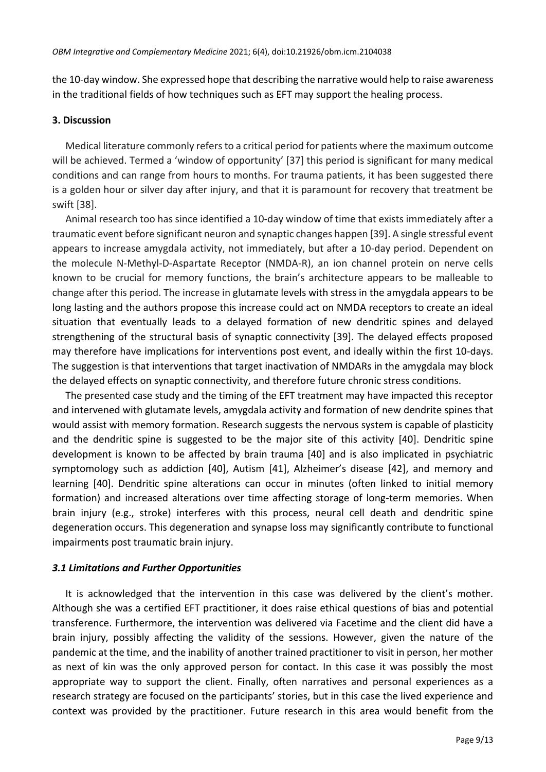the 10-day window. She expressed hope that describing the narrative would help to raise awareness in the traditional fields of how techniques such as EFT may support the healing process.

#### **3. Discussion**

Medical literature commonly refers to a critical period for patients where the maximum outcome will be achieved. Termed a 'window of opportunity' [37] this period is significant for many medical conditions and can range from hours to months. For trauma patients, it has been suggested there is a golden hour or silver day after injury, and that it is paramount for recovery that treatment be swift [38].

Animal research too has since identified a 10-day window of time that exists immediately after a traumatic event before significant neuron and synaptic changes happen [39]. A single stressful event appears to increase amygdala activity, not immediately, but after a 10-day period. Dependent on the molecule N-Methyl-D-Aspartate Receptor (NMDA-R), an ion channel protein on nerve cells known to be crucial for memory functions, the brain's architecture appears to be malleable to change after this period. The increase in glutamate levels with stress in the amygdala appears to be long lasting and the authors propose this increase could act on NMDA receptors to create an ideal situation that eventually leads to a delayed formation of new dendritic spines and delayed strengthening of the structural basis of synaptic connectivity [39]. The delayed effects proposed may therefore have implications for interventions post event, and ideally within the first 10-days. The suggestion is that interventions that target inactivation of NMDARs in the amygdala may block the delayed effects on synaptic connectivity, and therefore future chronic stress conditions.

The presented case study and the timing of the EFT treatment may have impacted this receptor and intervened with glutamate levels, amygdala activity and formation of new dendrite spines that would assist with memory formation. Research suggests the nervous system is capable of plasticity and the dendritic spine is suggested to be the major site of this activity [40]. Dendritic spine development is known to be affected by brain trauma [40] and is also implicated in psychiatric symptomology such as addiction [40], Autism [41], Alzheimer's disease [42], and memory and learning [40]. Dendritic spine alterations can occur in minutes (often linked to initial memory formation) and increased alterations over time affecting storage of long-term memories. When brain injury (e.g., stroke) interferes with this process, neural cell death and dendritic spine degeneration occurs. This degeneration and synapse loss may significantly contribute to functional impairments post traumatic brain injury.

## *3.1 Limitations and Further Opportunities*

It is acknowledged that the intervention in this case was delivered by the client's mother. Although she was a certified EFT practitioner, it does raise ethical questions of bias and potential transference. Furthermore, the intervention was delivered via Facetime and the client did have a brain injury, possibly affecting the validity of the sessions. However, given the nature of the pandemic at the time, and the inability of another trained practitioner to visit in person, her mother as next of kin was the only approved person for contact. In this case it was possibly the most appropriate way to support the client. Finally, often narratives and personal experiences as a research strategy are focused on the participants' stories, but in this case the lived experience and context was provided by the practitioner. Future research in this area would benefit from the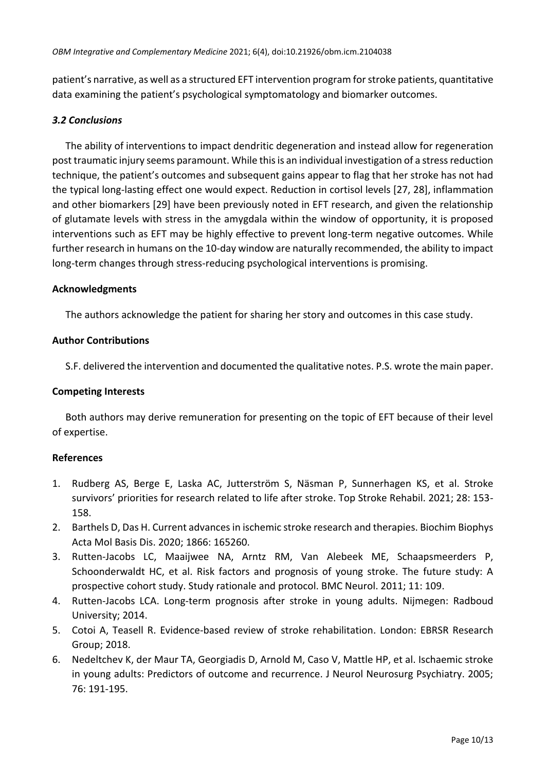patient's narrative, as well as a structured EFT intervention program for stroke patients, quantitative data examining the patient's psychological symptomatology and biomarker outcomes.

# *3.2 Conclusions*

The ability of interventions to impact dendritic degeneration and instead allow for regeneration post traumatic injury seems paramount. While this is an individual investigation of a stress reduction technique, the patient's outcomes and subsequent gains appear to flag that her stroke has not had the typical long-lasting effect one would expect. Reduction in cortisol levels [27, 28], inflammation and other biomarkers [29] have been previously noted in EFT research, and given the relationship of glutamate levels with stress in the amygdala within the window of opportunity, it is proposed interventions such as EFT may be highly effective to prevent long-term negative outcomes. While further research in humans on the 10-day window are naturally recommended, the ability to impact long-term changes through stress-reducing psychological interventions is promising.

## **Acknowledgments**

The authors acknowledge the patient for sharing her story and outcomes in this case study.

# **Author Contributions**

S.F. delivered the intervention and documented the qualitative notes. P.S. wrote the main paper.

## **Competing Interests**

Both authors may derive remuneration for presenting on the topic of EFT because of their level of expertise.

## **References**

- 1. Rudberg AS, Berge E, Laska AC, Jutterström S, Näsman P, Sunnerhagen KS, et al. Stroke survivors' priorities for research related to life after stroke. Top Stroke Rehabil. 2021; 28: 153- 158.
- 2. Barthels D, Das H. Current advances in ischemic stroke research and therapies. Biochim Biophys Acta Mol Basis Dis. 2020; 1866: 165260.
- 3. Rutten-Jacobs LC, Maaijwee NA, Arntz RM, Van Alebeek ME, Schaapsmeerders P, Schoonderwaldt HC, et al. Risk factors and prognosis of young stroke. The future study: A prospective cohort study. Study rationale and protocol. BMC Neurol. 2011; 11: 109.
- 4. Rutten-Jacobs LCA. Long-term prognosis after stroke in young adults. Nijmegen: Radboud University; 2014.
- 5. Cotoi A, Teasell R. Evidence-based review of stroke rehabilitation. London: EBRSR Research Group; 2018.
- 6. Nedeltchev K, der Maur TA, Georgiadis D, Arnold M, Caso V, Mattle HP, et al. Ischaemic stroke in young adults: Predictors of outcome and recurrence. J Neurol Neurosurg Psychiatry. 2005; 76: 191-195.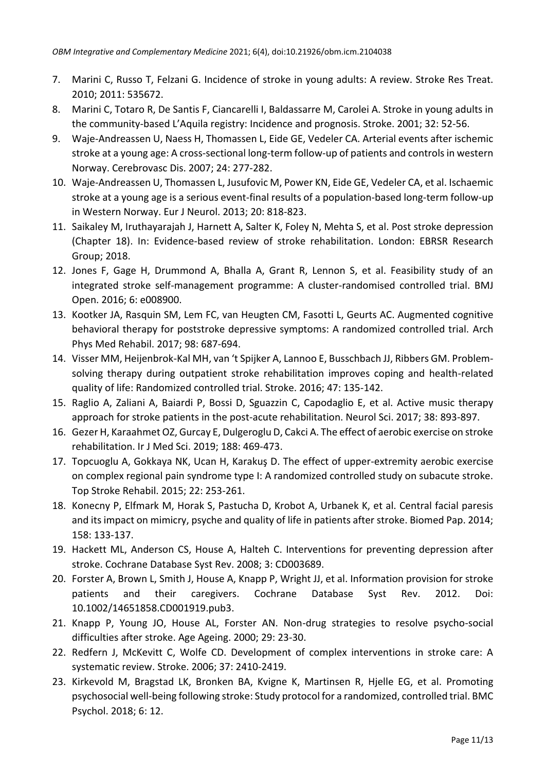- 7. Marini C, Russo T, Felzani G. Incidence of stroke in young adults: A review. Stroke Res Treat. 2010; 2011: 535672.
- 8. Marini C, Totaro R, De Santis F, Ciancarelli I, Baldassarre M, Carolei A. Stroke in young adults in the community-based L'Aquila registry: Incidence and prognosis. Stroke. 2001; 32: 52-56.
- 9. Waje-Andreassen U, Naess H, Thomassen L, Eide GE, Vedeler CA. Arterial events after ischemic stroke at a young age: A cross-sectional long-term follow-up of patients and controls in western Norway. Cerebrovasc Dis. 2007; 24: 277-282.
- 10. Waje-Andreassen U, Thomassen L, Jusufovic M, Power KN, Eide GE, Vedeler CA, et al. Ischaemic stroke at a young age is a serious event-final results of a population-based long-term follow-up in Western Norway. Eur J Neurol. 2013; 20: 818-823.
- 11. Saikaley M, Iruthayarajah J, Harnett A, Salter K, Foley N, Mehta S, et al. Post stroke depression (Chapter 18). In: Evidence-based review of stroke rehabilitation. London: EBRSR Research Group; 2018.
- 12. Jones F, Gage H, Drummond A, Bhalla A, Grant R, Lennon S, et al. Feasibility study of an integrated stroke self-management programme: A cluster-randomised controlled trial. BMJ Open. 2016; 6: e008900.
- 13. Kootker JA, Rasquin SM, Lem FC, van Heugten CM, Fasotti L, Geurts AC. Augmented cognitive behavioral therapy for poststroke depressive symptoms: A randomized controlled trial. Arch Phys Med Rehabil. 2017; 98: 687-694.
- 14. Visser MM, Heijenbrok-Kal MH, van 't Spijker A, Lannoo E, Busschbach JJ, Ribbers GM. Problemsolving therapy during outpatient stroke rehabilitation improves coping and health-related quality of life: Randomized controlled trial. Stroke. 2016; 47: 135-142.
- 15. Raglio A, Zaliani A, Baiardi P, Bossi D, Sguazzin C, Capodaglio E, et al. Active music therapy approach for stroke patients in the post-acute rehabilitation. Neurol Sci. 2017; 38: 893-897.
- 16. Gezer H, Karaahmet OZ, Gurcay E, Dulgeroglu D, Cakci A. The effect of aerobic exercise on stroke rehabilitation. Ir J Med Sci. 2019; 188: 469-473.
- 17. Topcuoglu A, Gokkaya NK, Ucan H, Karakuş D. The effect of upper-extremity aerobic exercise on complex regional pain syndrome type I: A randomized controlled study on subacute stroke. Top Stroke Rehabil. 2015; 22: 253-261.
- 18. Konecny P, Elfmark M, Horak S, Pastucha D, Krobot A, Urbanek K, et al. Central facial paresis and its impact on mimicry, psyche and quality of life in patients after stroke. Biomed Pap. 2014; 158: 133-137.
- 19. Hackett ML, Anderson CS, House A, Halteh C. Interventions for preventing depression after stroke. Cochrane Database Syst Rev. 2008; 3: CD003689.
- 20. Forster A, Brown L, Smith J, House A, Knapp P, Wright JJ, et al. Information provision for stroke patients and their caregivers. Cochrane Database Syst Rev. 2012. Doi: 10.1002/14651858.CD001919.pub3.
- 21. Knapp P, Young JO, House AL, Forster AN. Non-drug strategies to resolve psycho-social difficulties after stroke. Age Ageing. 2000; 29: 23-30.
- 22. Redfern J, McKevitt C, Wolfe CD. Development of complex interventions in stroke care: A systematic review. Stroke. 2006; 37: 2410-2419.
- 23. Kirkevold M, Bragstad LK, Bronken BA, Kvigne K, Martinsen R, Hjelle EG, et al. Promoting psychosocial well-being following stroke: Study protocol for a randomized, controlled trial. BMC Psychol. 2018; 6: 12.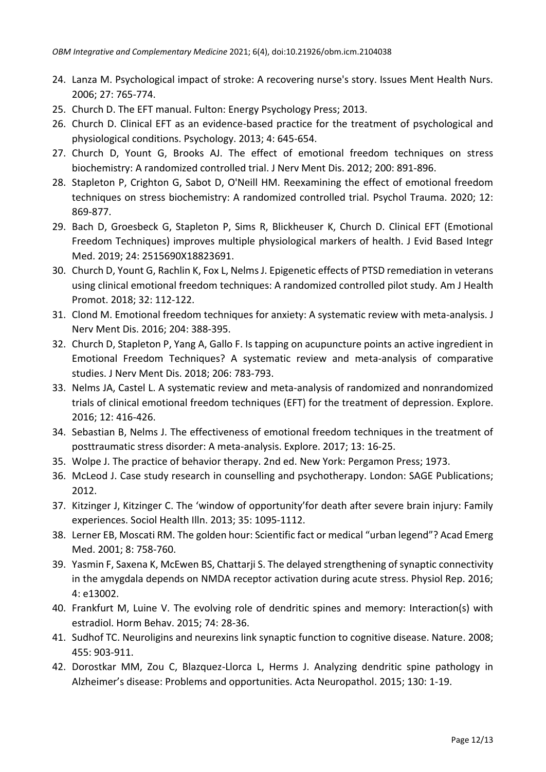- 24. Lanza M. Psychological impact of stroke: A recovering nurse's story. Issues Ment Health Nurs. 2006; 27: 765-774.
- 25. Church D. The EFT manual. Fulton: Energy Psychology Press; 2013.
- 26. Church D. Clinical EFT as an evidence-based practice for the treatment of psychological and physiological conditions. Psychology. 2013; 4: 645-654.
- 27. Church D, Yount G, Brooks AJ. The effect of emotional freedom techniques on stress biochemistry: A randomized controlled trial. J Nerv Ment Dis. 2012; 200: 891-896.
- 28. Stapleton P, Crighton G, Sabot D, O'Neill HM. Reexamining the effect of emotional freedom techniques on stress biochemistry: A randomized controlled trial. Psychol Trauma. 2020; 12: 869-877.
- 29. Bach D, Groesbeck G, Stapleton P, Sims R, Blickheuser K, Church D. Clinical EFT (Emotional Freedom Techniques) improves multiple physiological markers of health. J Evid Based Integr Med. 2019; 24: 2515690X18823691.
- 30. Church D, Yount G, Rachlin K, Fox L, Nelms J. Epigenetic effects of PTSD remediation in veterans using clinical emotional freedom techniques: A randomized controlled pilot study. Am J Health Promot. 2018; 32: 112-122.
- 31. Clond M. Emotional freedom techniques for anxiety: A systematic review with meta-analysis. J Nerv Ment Dis. 2016; 204: 388-395.
- 32. Church D, Stapleton P, Yang A, Gallo F. Is tapping on acupuncture points an active ingredient in Emotional Freedom Techniques? A systematic review and meta-analysis of comparative studies. J Nerv Ment Dis. 2018; 206: 783-793.
- 33. Nelms JA, Castel L. A systematic review and meta-analysis of randomized and nonrandomized trials of clinical emotional freedom techniques (EFT) for the treatment of depression. Explore. 2016; 12: 416-426.
- 34. Sebastian B, Nelms J. The effectiveness of emotional freedom techniques in the treatment of posttraumatic stress disorder: A meta-analysis. Explore. 2017; 13: 16-25.
- 35. Wolpe J. The practice of behavior therapy. 2nd ed. New York: Pergamon Press; 1973.
- 36. McLeod J. Case study research in counselling and psychotherapy. London: SAGE Publications; 2012.
- 37. Kitzinger J, Kitzinger C. The 'window of opportunity'for death after severe brain injury: Family experiences. Sociol Health Illn. 2013; 35: 1095-1112.
- 38. Lerner EB, Moscati RM. The golden hour: Scientific fact or medical "urban legend"? Acad Emerg Med. 2001; 8: 758-760.
- 39. Yasmin F, Saxena K, McEwen BS, Chattarji S. The delayed strengthening of synaptic connectivity in the amygdala depends on NMDA receptor activation during acute stress. Physiol Rep. 2016; 4: e13002.
- 40. Frankfurt M, Luine V. The evolving role of dendritic spines and memory: Interaction(s) with estradiol. Horm Behav. 2015; 74: 28-36.
- 41. Sudhof TC. Neuroligins and neurexins link synaptic function to cognitive disease. Nature. 2008; 455: 903-911.
- 42. Dorostkar MM, Zou C, Blazquez-Llorca L, Herms J. Analyzing dendritic spine pathology in Alzheimer's disease: Problems and opportunities. Acta Neuropathol. 2015; 130: 1-19.